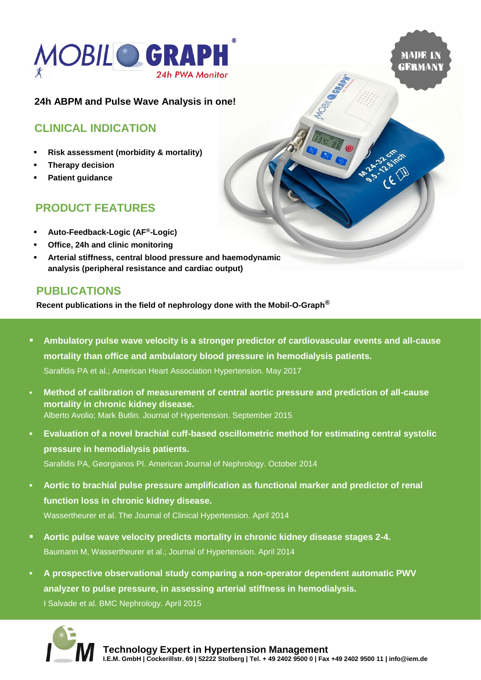



### **24h ABPM and Pulse Wave Analysis in one!**

## **CLINICAL INDICATION**

- **Risk assessment (morbidity & mortality)**
- **Therapy decision**
- **Patient quidance**

# **PRODUCT FEATURES**

- **Auto-Feedback-Logic (AF®-Logic)**
- **Office, 24h and clinic monitoring**
- Arterial stiffness, central blood pressure and haemodynamic **analysis (peripheral resistance and cardiac output)**

### **PUBLICATIONS**

**Recent publications in the field of nephrology done with the Mobil-O-Graph®**

- **Ambulatory pulse wave velocity is a stronger predictor of cardiovascular events and all-cause mortality than office and ambulatory blood pressure in hemodialysis patients.** Sarafidis PA et al.; American Heart Association Hypertension. May 2017
- **Method of calibration of measurement of central aortic pressure and prediction of all-cause mortality in chronic kidney disease.** Alberto Avolio; Mark Butlin. Journal of Hypertension. September 2015
- Evaluation of a novel brachial cuff-based oscillometric method for estimating central systolic **pressure in hemodialysis patients.** Sarafidis PA, Georgianos PI. American Journal of Nephrology. October 2014
- Aortic to brachial pulse pressure amplification as functional marker and predictor of renal **function loss in chronic kidney disease.** Wassertheurer et al. The Journal of Clinical Hypertension. April 2014
- Aortic pulse wave velocity predicts mortality in chronic kidney disease stages 2-4. Baumann M, Wassertheurer et al.; Journal of Hypertension. April 2014
- **A prospective observational study comparing a non-operator dependent automatic PWV analyzer to pulse pressure, in assessing arterial stiffness in hemodialysis.** I Salvade et al. BMC Nephrology. April 2015